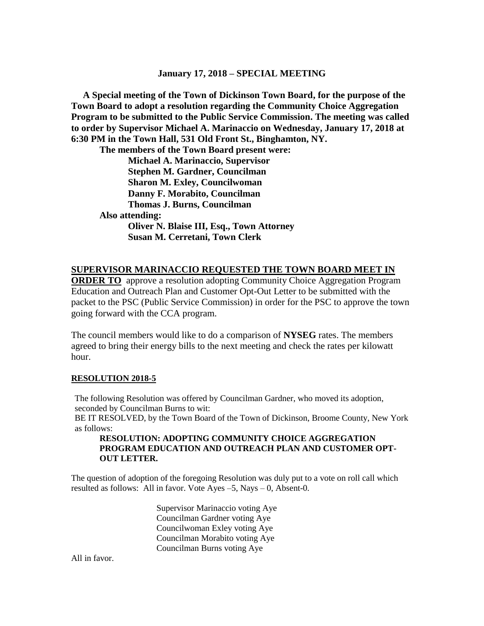## **January 17, 2018 – SPECIAL MEETING**

 **A Special meeting of the Town of Dickinson Town Board, for the purpose of the Town Board to adopt a resolution regarding the Community Choice Aggregation Program to be submitted to the Public Service Commission. The meeting was called to order by Supervisor Michael A. Marinaccio on Wednesday, January 17, 2018 at 6:30 PM in the Town Hall, 531 Old Front St., Binghamton, NY.**

**The members of the Town Board present were: Michael A. Marinaccio, Supervisor Stephen M. Gardner, Councilman Sharon M. Exley, Councilwoman Danny F. Morabito, Councilman Thomas J. Burns, Councilman Also attending: Oliver N. Blaise III, Esq., Town Attorney Susan M. Cerretani, Town Clerk**

## **SUPERVISOR MARINACCIO REQUESTED THE TOWN BOARD MEET IN**

**ORDER TO** approve a resolution adopting Community Choice Aggregation Program Education and Outreach Plan and Customer Opt-Out Letter to be submitted with the packet to the PSC (Public Service Commission) in order for the PSC to approve the town going forward with the CCA program.

The council members would like to do a comparison of **NYSEG** rates. The members agreed to bring their energy bills to the next meeting and check the rates per kilowatt hour.

#### **RESOLUTION 2018-5**

The following Resolution was offered by Councilman Gardner, who moved its adoption, seconded by Councilman Burns to wit:

BE IT RESOLVED, by the Town Board of the Town of Dickinson, Broome County, New York as follows:

### **RESOLUTION: ADOPTING COMMUNITY CHOICE AGGREGATION PROGRAM EDUCATION AND OUTREACH PLAN AND CUSTOMER OPT-OUT LETTER.**

The question of adoption of the foregoing Resolution was duly put to a vote on roll call which resulted as follows: All in favor. Vote Ayes –5, Nays – 0, Absent-0.

> Supervisor Marinaccio voting Aye Councilman Gardner voting Aye Councilwoman Exley voting Aye Councilman Morabito voting Aye Councilman Burns voting Aye

All in favor.